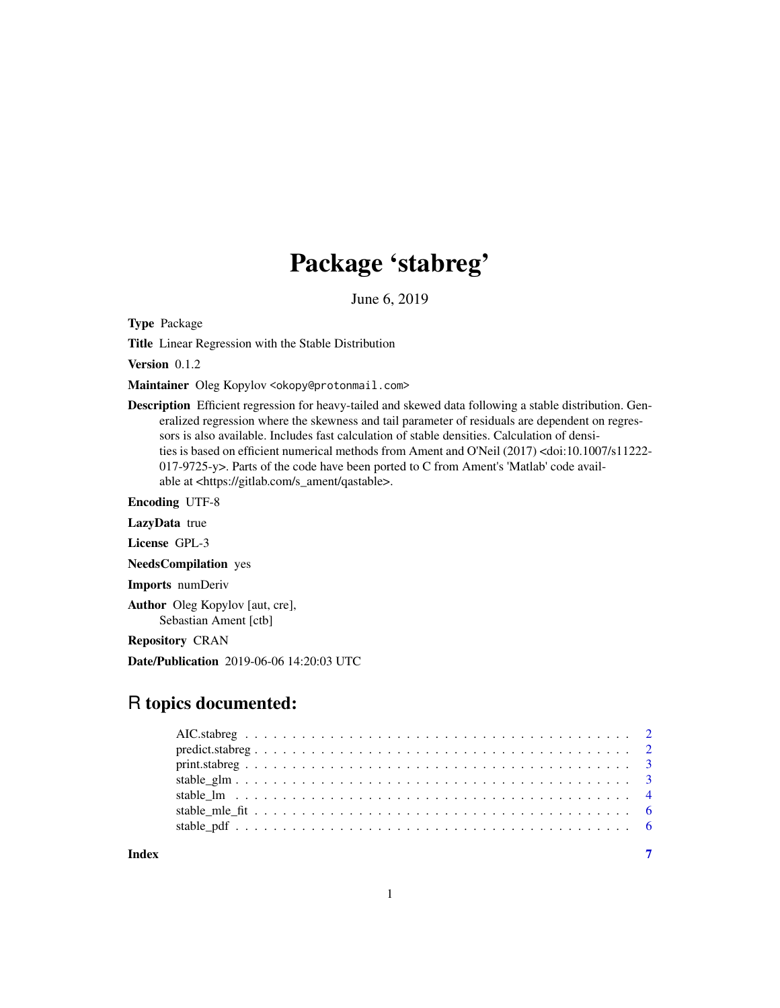## Package 'stabreg'

June 6, 2019

Type Package

Title Linear Regression with the Stable Distribution

Version 0.1.2

Maintainer Oleg Kopylov <okopy@protonmail.com>

Description Efficient regression for heavy-tailed and skewed data following a stable distribution. Generalized regression where the skewness and tail parameter of residuals are dependent on regressors is also available. Includes fast calculation of stable densities. Calculation of densities is based on efficient numerical methods from Ament and O'Neil (2017) <doi:10.1007/s11222- 017-9725-y>. Parts of the code have been ported to C from Ament's 'Matlab' code available at <https://gitlab.com/s\_ament/qastable>.

Encoding UTF-8

LazyData true

License GPL-3

NeedsCompilation yes

Imports numDeriv

Author Oleg Kopylov [aut, cre], Sebastian Ament [ctb]

Repository CRAN

Date/Publication 2019-06-06 14:20:03 UTC

### R topics documented:

| Index | $\overline{7}$ |
|-------|----------------|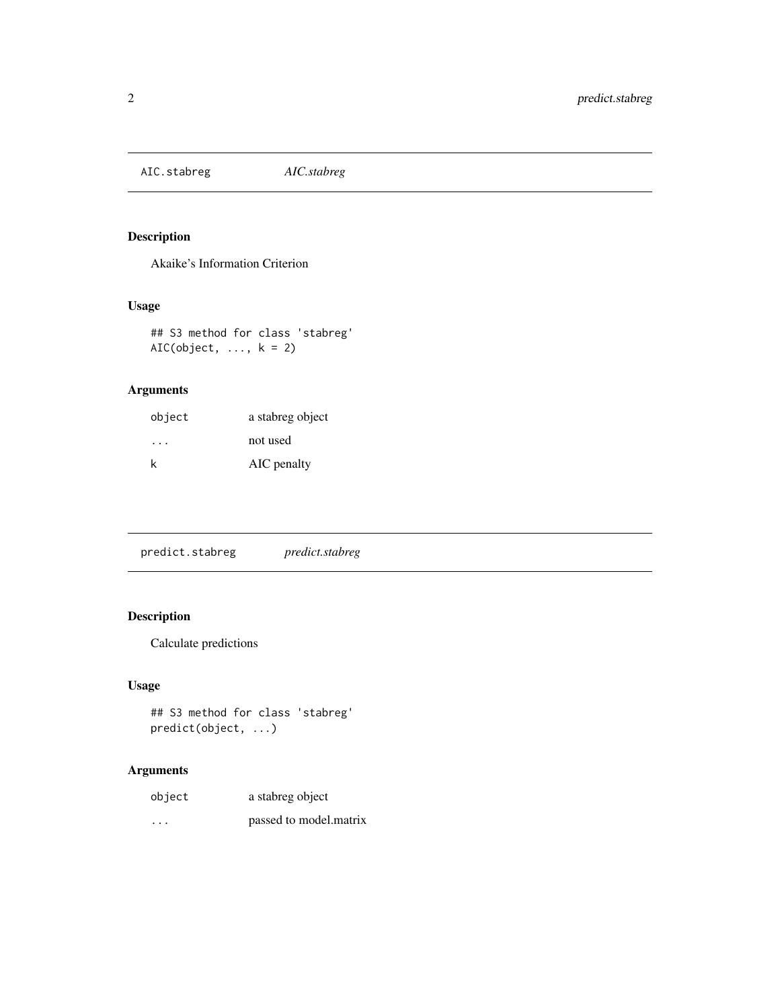<span id="page-1-0"></span>AIC.stabreg *AIC.stabreg*

#### Description

Akaike's Information Criterion

#### Usage

## S3 method for class 'stabreg' AIC(object,  $\dots$ ,  $k = 2$ )

#### Arguments

| object | a stabreg object |
|--------|------------------|
| .      | not used         |
| k      | AIC penalty      |

predict.stabreg *predict.stabreg*

#### Description

Calculate predictions

#### Usage

## S3 method for class 'stabreg' predict(object, ...)

#### Arguments

| object   | a stabreg object       |
|----------|------------------------|
| $\cdots$ | passed to model.matrix |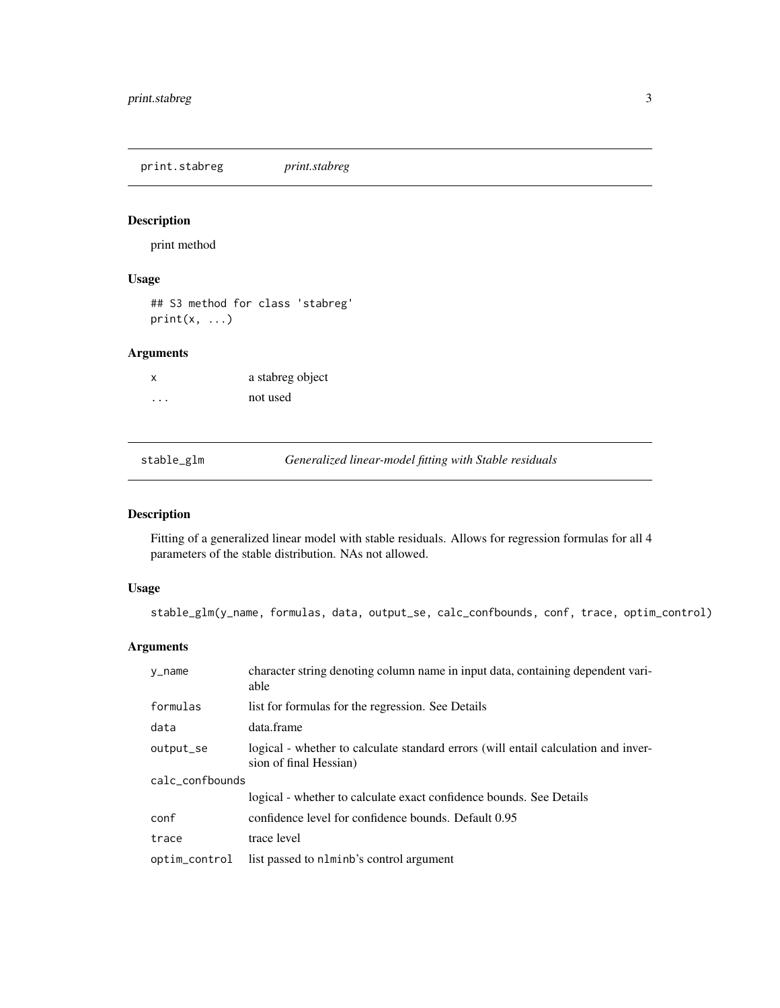<span id="page-2-0"></span>print.stabreg *print.stabreg*

#### Description

print method

#### Usage

## S3 method for class 'stabreg'  $print(x, \ldots)$ 

#### Arguments

| X        | a stabreg object |
|----------|------------------|
| $\cdots$ | not used         |

stable\_glm *Generalized linear-model fitting with Stable residuals*

#### Description

Fitting of a generalized linear model with stable residuals. Allows for regression formulas for all 4 parameters of the stable distribution. NAs not allowed.

#### Usage

stable\_glm(y\_name, formulas, data, output\_se, calc\_confbounds, conf, trace, optim\_control)

#### Arguments

| y_name          | character string denoting column name in input data, containing dependent vari-<br>able                      |  |
|-----------------|--------------------------------------------------------------------------------------------------------------|--|
| formulas        | list for formulas for the regression. See Details                                                            |  |
| data            | data.frame                                                                                                   |  |
| output_se       | logical - whether to calculate standard errors (will entail calculation and inver-<br>sion of final Hessian) |  |
| calc_confbounds |                                                                                                              |  |
|                 | logical - whether to calculate exact confidence bounds. See Details                                          |  |
| conf            | confidence level for confidence bounds. Default 0.95                                                         |  |
| trace           | trace level                                                                                                  |  |
| optim_control   | list passed to nlminb's control argument                                                                     |  |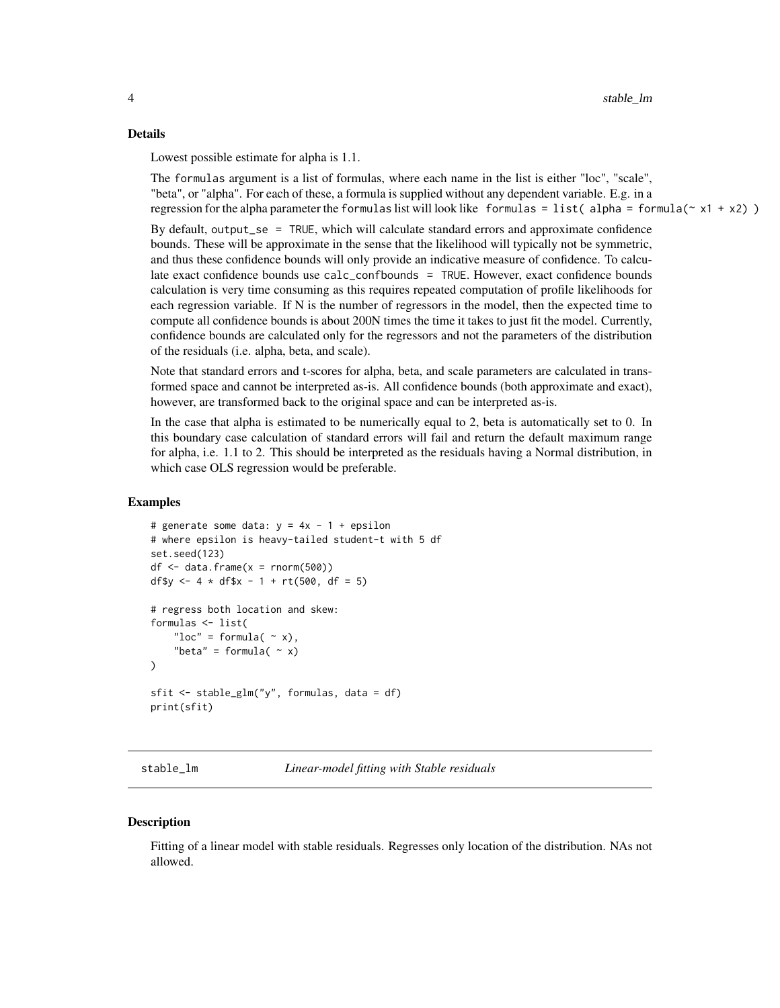#### <span id="page-3-0"></span>Details

Lowest possible estimate for alpha is 1.1.

The formulas argument is a list of formulas, where each name in the list is either "loc", "scale", "beta", or "alpha". For each of these, a formula is supplied without any dependent variable. E.g. in a regression for the alpha parameter the formulas list will look like formulas = list(alpha = formula( $\sim x1 + x2$ ))

By default, output\_se = TRUE, which will calculate standard errors and approximate confidence bounds. These will be approximate in the sense that the likelihood will typically not be symmetric, and thus these confidence bounds will only provide an indicative measure of confidence. To calculate exact confidence bounds use calc\_confbounds = TRUE. However, exact confidence bounds calculation is very time consuming as this requires repeated computation of profile likelihoods for each regression variable. If N is the number of regressors in the model, then the expected time to compute all confidence bounds is about 200N times the time it takes to just fit the model. Currently, confidence bounds are calculated only for the regressors and not the parameters of the distribution of the residuals (i.e. alpha, beta, and scale).

Note that standard errors and t-scores for alpha, beta, and scale parameters are calculated in transformed space and cannot be interpreted as-is. All confidence bounds (both approximate and exact), however, are transformed back to the original space and can be interpreted as-is.

In the case that alpha is estimated to be numerically equal to 2, beta is automatically set to 0. In this boundary case calculation of standard errors will fail and return the default maximum range for alpha, i.e. 1.1 to 2. This should be interpreted as the residuals having a Normal distribution, in which case OLS regression would be preferable.

#### Examples

```
# generate some data: y = 4x - 1 + epsilon# where epsilon is heavy-tailed student-t with 5 df
set.seed(123)
df \leftarrow data . frame(x = rnorm(500))df$y <- 4 * df$x - 1 + rt(500, df = 5)# regress both location and skew:
formulas <- list(
    "loc" = formula( \sim x),
    "beta" = formula(\sim x))
sfit <- stable_glm("y", formulas, data = df)
print(sfit)
```
stable\_lm *Linear-model fitting with Stable residuals*

#### **Description**

Fitting of a linear model with stable residuals. Regresses only location of the distribution. NAs not allowed.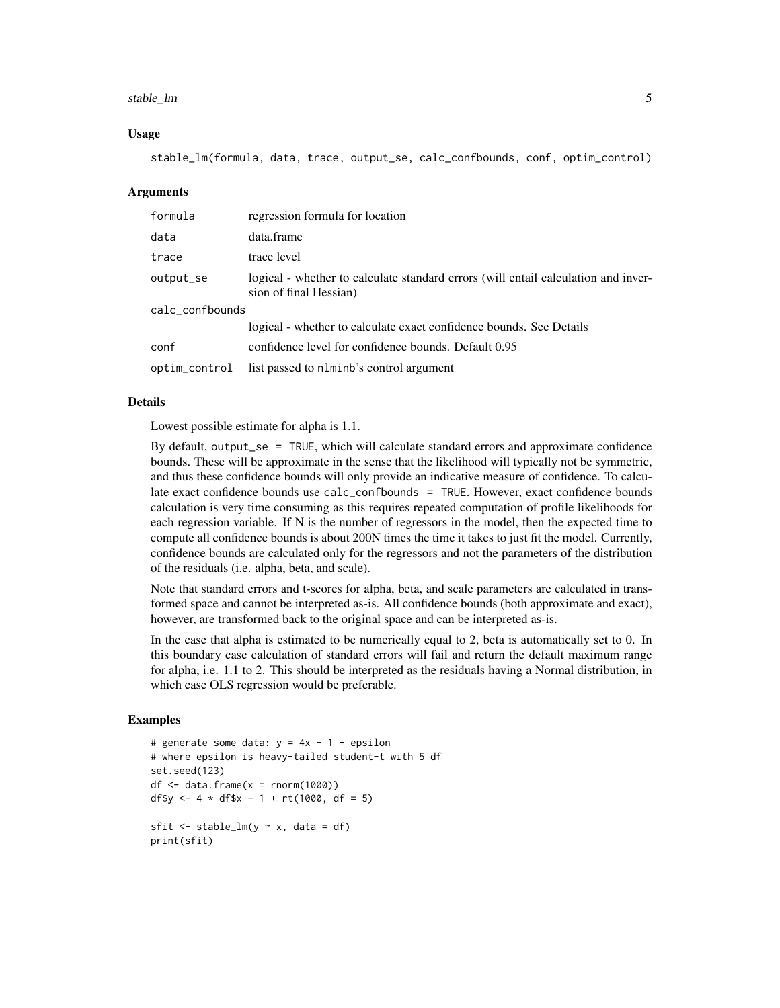#### stable\_Im 5

#### Usage

stable\_lm(formula, data, trace, output\_se, calc\_confbounds, conf, optim\_control)

#### Arguments

| formula         | regression formula for location                                                                              |
|-----------------|--------------------------------------------------------------------------------------------------------------|
| data            | data.frame                                                                                                   |
| trace           | trace level                                                                                                  |
| output_se       | logical - whether to calculate standard errors (will entail calculation and inver-<br>sion of final Hessian) |
| calc_confbounds |                                                                                                              |
|                 | logical - whether to calculate exact confidence bounds. See Details                                          |
| conf            | confidence level for confidence bounds. Default 0.95                                                         |
| optim_control   | list passed to n1minb's control argument                                                                     |

#### Details

Lowest possible estimate for alpha is 1.1.

By default, output\_se = TRUE, which will calculate standard errors and approximate confidence bounds. These will be approximate in the sense that the likelihood will typically not be symmetric, and thus these confidence bounds will only provide an indicative measure of confidence. To calculate exact confidence bounds use calc\_confbounds = TRUE. However, exact confidence bounds calculation is very time consuming as this requires repeated computation of profile likelihoods for each regression variable. If N is the number of regressors in the model, then the expected time to compute all confidence bounds is about 200N times the time it takes to just fit the model. Currently, confidence bounds are calculated only for the regressors and not the parameters of the distribution of the residuals (i.e. alpha, beta, and scale).

Note that standard errors and t-scores for alpha, beta, and scale parameters are calculated in transformed space and cannot be interpreted as-is. All confidence bounds (both approximate and exact), however, are transformed back to the original space and can be interpreted as-is.

In the case that alpha is estimated to be numerically equal to 2, beta is automatically set to 0. In this boundary case calculation of standard errors will fail and return the default maximum range for alpha, i.e. 1.1 to 2. This should be interpreted as the residuals having a Normal distribution, in which case OLS regression would be preferable.

#### Examples

```
# generate some data: y = 4x - 1 + epsilon# where epsilon is heavy-tailed student-t with 5 df
set.seed(123)
df \leq -\text{data}.frame(x = rnorm(1000))df$y <- 4 \times df$x - 1 + rt(1000, df = 5)sfit \le stable_lm(y \sim x, data = df)
print(sfit)
```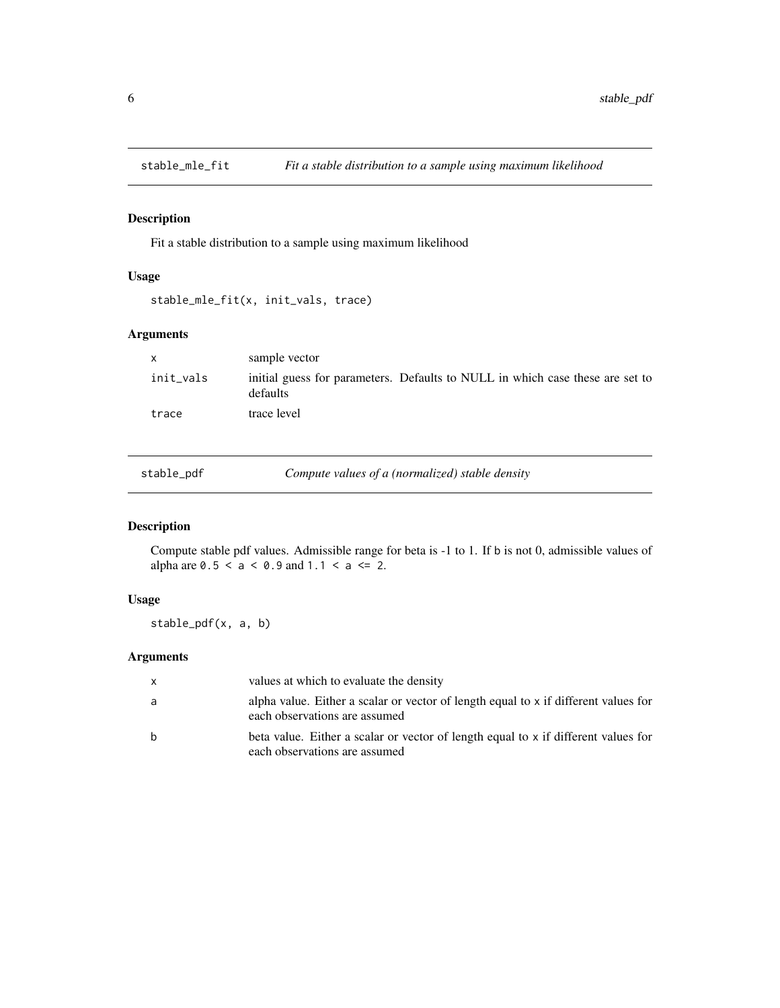<span id="page-5-0"></span>

#### Description

Fit a stable distribution to a sample using maximum likelihood

#### Usage

```
stable_mle_fit(x, init_vals, trace)
```
#### Arguments

| $\mathsf{x}$ | sample vector                                                                             |
|--------------|-------------------------------------------------------------------------------------------|
| init_vals    | initial guess for parameters. Defaults to NULL in which case these are set to<br>defaults |
| trace        | trace level                                                                               |

| stable_pdf |  |  |
|------------|--|--|
|            |  |  |

Compute values of a (normalized) stable density

#### Description

Compute stable pdf values. Admissible range for beta is -1 to 1. If b is not 0, admissible values of alpha are  $0.5 < a < 0.9$  and  $1.1 < a < 2$ .

#### Usage

stable\_pdf(x, a, b)

#### Arguments

| $\mathsf{x}$ | values at which to evaluate the density                                                                              |
|--------------|----------------------------------------------------------------------------------------------------------------------|
| a            | alpha value. Either a scalar or vector of length equal to x if different values for<br>each observations are assumed |
| b            | beta value. Either a scalar or vector of length equal to x if different values for<br>each observations are assumed  |